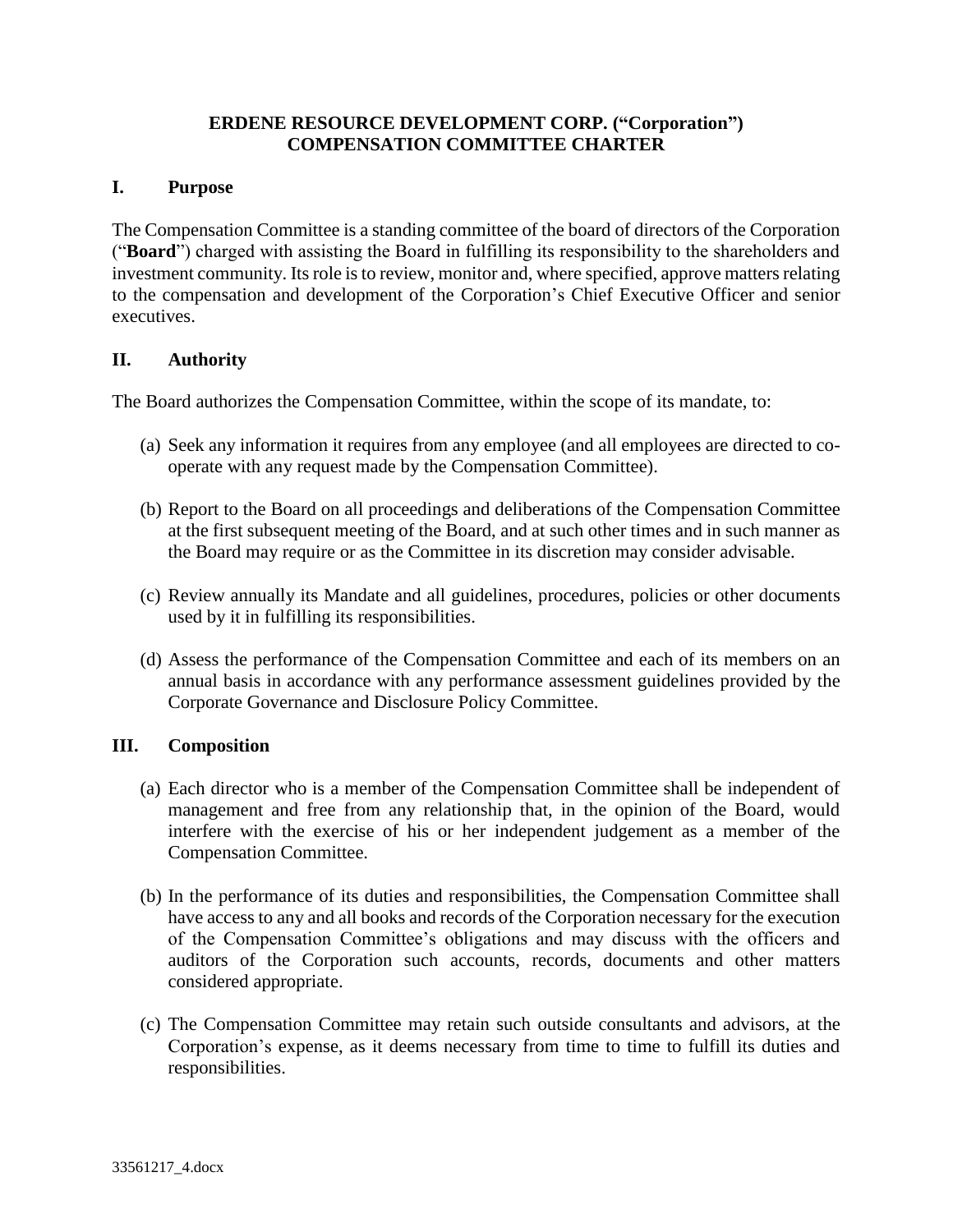# **ERDENE RESOURCE DEVELOPMENT CORP. ("Corporation") COMPENSATION COMMITTEE CHARTER**

## **I. Purpose**

The Compensation Committee is a standing committee of the board of directors of the Corporation ("**Board**") charged with assisting the Board in fulfilling its responsibility to the shareholders and investment community. Its role is to review, monitor and, where specified, approve matters relating to the compensation and development of the Corporation's Chief Executive Officer and senior executives.

# **II. Authority**

The Board authorizes the Compensation Committee, within the scope of its mandate, to:

- (a) Seek any information it requires from any employee (and all employees are directed to cooperate with any request made by the Compensation Committee).
- (b) Report to the Board on all proceedings and deliberations of the Compensation Committee at the first subsequent meeting of the Board, and at such other times and in such manner as the Board may require or as the Committee in its discretion may consider advisable.
- (c) Review annually its Mandate and all guidelines, procedures, policies or other documents used by it in fulfilling its responsibilities.
- (d) Assess the performance of the Compensation Committee and each of its members on an annual basis in accordance with any performance assessment guidelines provided by the Corporate Governance and Disclosure Policy Committee.

### **III. Composition**

- (a) Each director who is a member of the Compensation Committee shall be independent of management and free from any relationship that, in the opinion of the Board, would interfere with the exercise of his or her independent judgement as a member of the Compensation Committee.
- (b) In the performance of its duties and responsibilities, the Compensation Committee shall have access to any and all books and records of the Corporation necessary for the execution of the Compensation Committee's obligations and may discuss with the officers and auditors of the Corporation such accounts, records, documents and other matters considered appropriate.
- (c) The Compensation Committee may retain such outside consultants and advisors, at the Corporation's expense, as it deems necessary from time to time to fulfill its duties and responsibilities.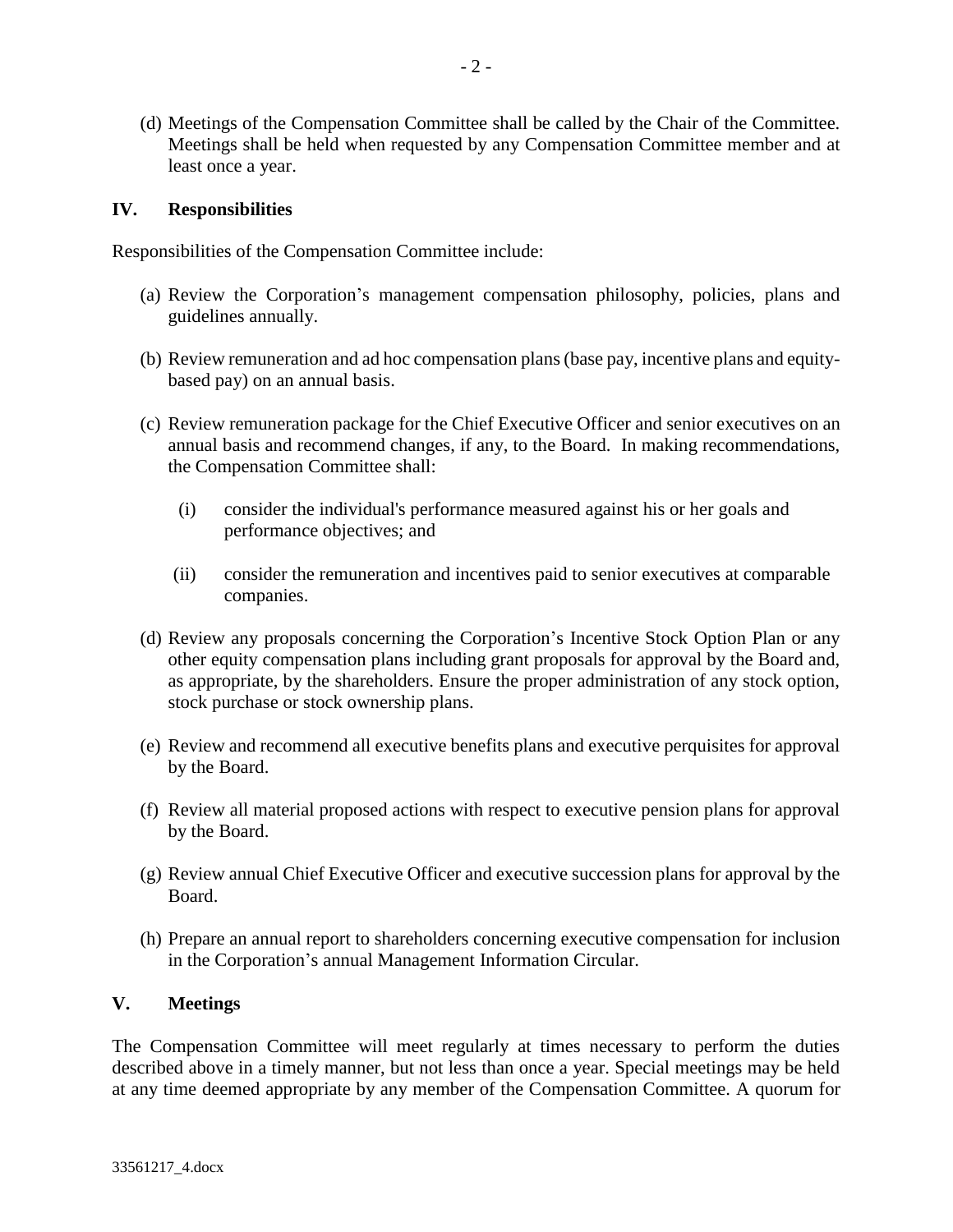(d) Meetings of the Compensation Committee shall be called by the Chair of the Committee. Meetings shall be held when requested by any Compensation Committee member and at least once a year.

#### **IV. Responsibilities**

Responsibilities of the Compensation Committee include:

- (a) Review the Corporation's management compensation philosophy, policies, plans and guidelines annually.
- (b) Review remuneration and ad hoc compensation plans (base pay, incentive plans and equitybased pay) on an annual basis.
- (c) Review remuneration package for the Chief Executive Officer and senior executives on an annual basis and recommend changes, if any, to the Board. In making recommendations, the Compensation Committee shall:
	- (i) consider the individual's performance measured against his or her goals and performance objectives; and
	- (ii) consider the remuneration and incentives paid to senior executives at comparable companies.
- (d) Review any proposals concerning the Corporation's Incentive Stock Option Plan or any other equity compensation plans including grant proposals for approval by the Board and, as appropriate, by the shareholders. Ensure the proper administration of any stock option, stock purchase or stock ownership plans.
- (e) Review and recommend all executive benefits plans and executive perquisites for approval by the Board.
- (f) Review all material proposed actions with respect to executive pension plans for approval by the Board.
- (g) Review annual Chief Executive Officer and executive succession plans for approval by the Board.
- (h) Prepare an annual report to shareholders concerning executive compensation for inclusion in the Corporation's annual Management Information Circular.

# **V. Meetings**

The Compensation Committee will meet regularly at times necessary to perform the duties described above in a timely manner, but not less than once a year. Special meetings may be held at any time deemed appropriate by any member of the Compensation Committee. A quorum for